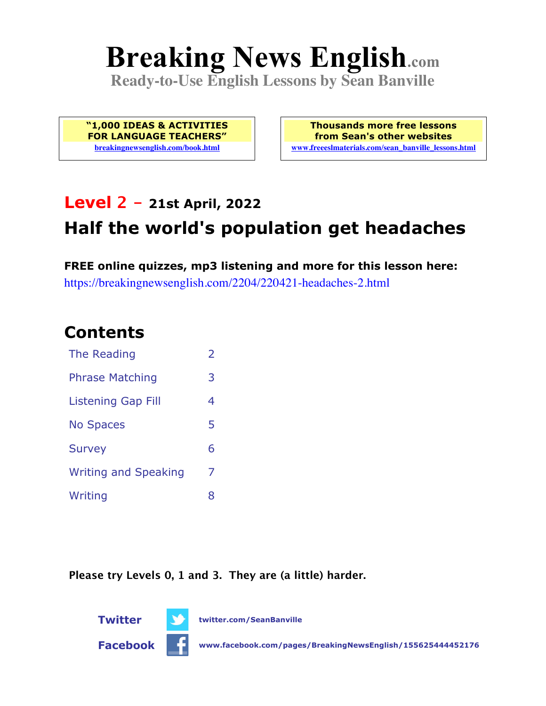# **Breaking News English.com**

**Ready-to-Use English Lessons by Sean Banville**

**"1,000 IDEAS & ACTIVITIES FOR LANGUAGE TEACHERS" breakingnewsenglish.com/book.html**

**Thousands more free lessons from Sean's other websites www.freeeslmaterials.com/sean\_banville\_lessons.html**

# **Level 2 - 21st April, 2022 Half the world's population get headaches**

**FREE online quizzes, mp3 listening and more for this lesson here:** https://breakingnewsenglish.com/2204/220421-headaches-2.html

#### **Contents**

| <b>The Reading</b>          | $\overline{2}$ |
|-----------------------------|----------------|
| <b>Phrase Matching</b>      | 3              |
| <b>Listening Gap Fill</b>   | 4              |
| <b>No Spaces</b>            | 5              |
| <b>Survey</b>               | 6              |
| <b>Writing and Speaking</b> | 7              |
| Writing                     | 8              |

**Please try Levels 0, 1 and 3. They are (a little) harder.**



**Twitter twitter.com/SeanBanville**

**Facebook www.facebook.com/pages/BreakingNewsEnglish/155625444452176**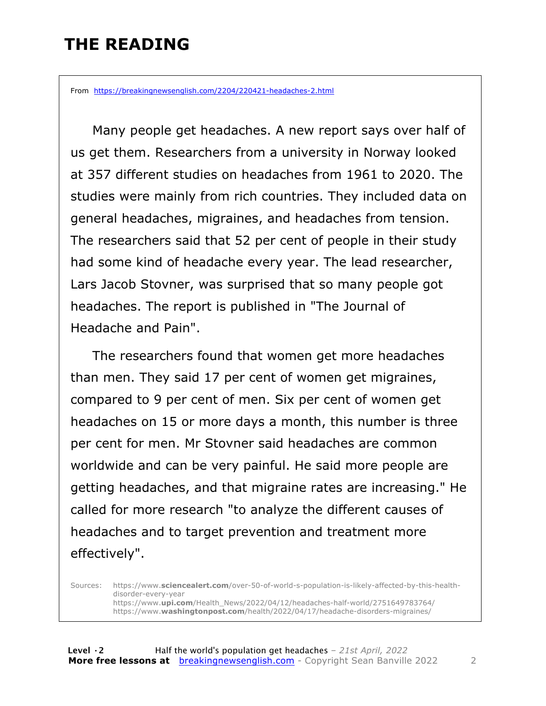#### **THE READING**

From https://breakingnewsenglish.com/2204/220421-headaches-2.html

 Many people get headaches. A new report says over half of us get them. Researchers from a university in Norway looked at 357 different studies on headaches from 1961 to 2020. The studies were mainly from rich countries. They included data on general headaches, migraines, and headaches from tension. The researchers said that 52 per cent of people in their study had some kind of headache every year. The lead researcher, Lars Jacob Stovner, was surprised that so many people got headaches. The report is published in "The Journal of Headache and Pain".

 The researchers found that women get more headaches than men. They said 17 per cent of women get migraines, compared to 9 per cent of men. Six per cent of women get headaches on 15 or more days a month, this number is three per cent for men. Mr Stovner said headaches are common worldwide and can be very painful. He said more people are getting headaches, and that migraine rates are increasing." He called for more research "to analyze the different causes of headaches and to target prevention and treatment more effectively".

Sources: https://www.**sciencealert.com**/over-50-of-world-s-population-is-likely-affected-by-this-healthdisorder-every-year https://www.**upi.com**/Health\_News/2022/04/12/headaches-half-world/2751649783764/ https://www.**washingtonpost.com**/health/2022/04/17/headache-disorders-migraines/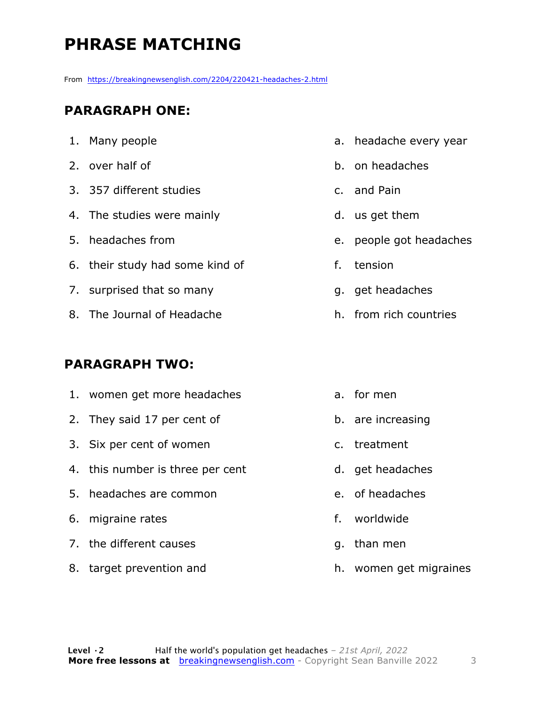## **PHRASE MATCHING**

From https://breakingnewsenglish.com/2204/220421-headaches-2.html

#### **PARAGRAPH ONE:**

- 1. Many people
- 2. over half of
- 3. 357 different studies
- 4. The studies were mainly
- 5. headaches from
- 6. their study had some kind of
- 7. surprised that so many
- 8. The Journal of Headache

#### **PARAGRAPH TWO:**

- 1. women get more headaches
- 2. They said 17 per cent of
- 3. Six per cent of women
- 4. this number is three per cent
- 5. headaches are common
- 6. migraine rates
- 7. the different causes
- 8. target prevention and
- a. headache every year
- b. on headaches
- c. and Pain
- d. us get them
- e. people got headaches
- f. tension
- g. get headaches
- h. from rich countries
- a. for men
- b. are increasing
- c. treatment
- d. get headaches
- e. of headaches
- f. worldwide
- g. than men
- h. women get migraines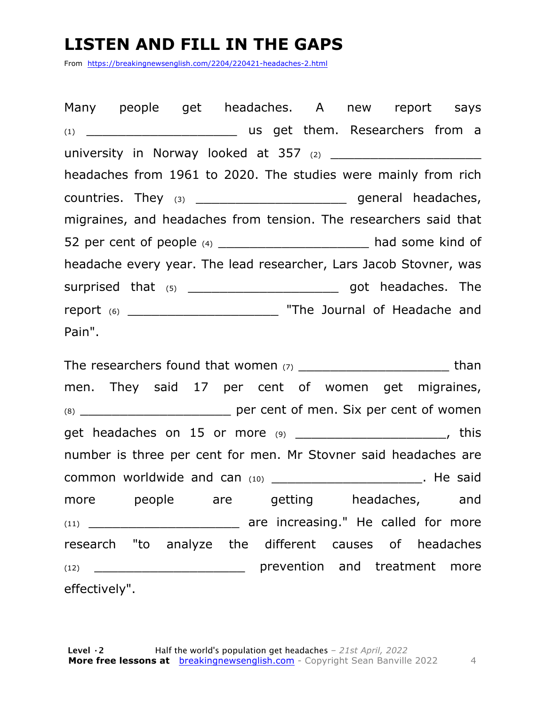#### **LISTEN AND FILL IN THE GAPS**

From https://breakingnewsenglish.com/2204/220421-headaches-2.html

Many people get headaches. A new report says (1) \_\_\_\_\_\_\_\_\_\_\_\_\_\_\_\_\_\_\_ us get them. Researchers from a university in Norway looked at  $357$   $_{(2)}$ headaches from 1961 to 2020. The studies were mainly from rich countries. They (3) \_\_\_\_\_\_\_\_\_\_\_\_\_\_\_\_\_\_\_\_\_\_\_\_\_\_ general headaches, migraines, and headaches from tension. The researchers said that 52 per cent of people (4) \_\_\_\_\_\_\_\_\_\_\_\_\_\_\_\_\_\_\_\_\_\_ had some kind of headache every year. The lead researcher, Lars Jacob Stovner, was surprised that (5) \_\_\_\_\_\_\_\_\_\_\_\_\_\_\_\_\_\_\_\_\_\_\_\_\_\_\_ got headaches. The report (6) \_\_\_\_\_\_\_\_\_\_\_\_\_\_\_\_\_\_\_\_\_\_\_\_\_\_\_\_\_ "The Journal of Headache and Pain".

The researchers found that women (7) \_\_\_\_\_\_\_\_\_\_\_\_\_\_\_\_\_\_\_ than men. They said 17 per cent of women get migraines, (8) \_\_\_\_\_\_\_\_\_\_\_\_\_\_\_\_\_\_\_ per cent of men. Six per cent of women get headaches on 15 or more (9) \_\_\_\_\_\_\_\_\_\_\_\_\_\_\_\_\_\_\_\_\_, this number is three per cent for men. Mr Stovner said headaches are common worldwide and can (10) example and the said more people are getting headaches, and (11) \_\_\_\_\_\_\_\_\_\_\_\_\_\_\_\_\_\_\_ are increasing." He called for more research "to analyze the different causes of headaches (12) \_\_\_\_\_\_\_\_\_\_\_\_\_\_\_\_\_\_\_\_\_\_\_\_\_\_\_\_ prevention and treatment more effectively".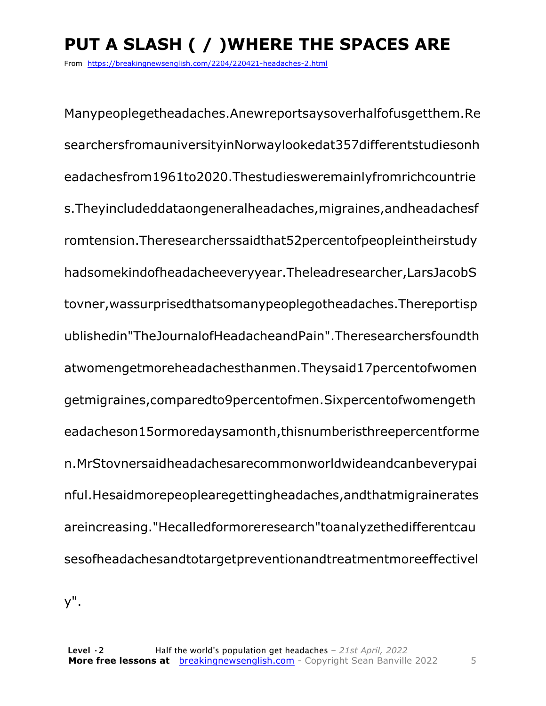# **PUT A SLASH ( / )WHERE THE SPACES ARE**

From https://breakingnewsenglish.com/2204/220421-headaches-2.html

Manypeoplegetheadaches.Anewreportsaysoverhalfofusgetthem.Re searchersfromauniversityinNorwaylookedat357differentstudiesonh eadachesfrom1961to2020.Thestudiesweremainlyfromrichcountrie s.Theyincludeddataongeneralheadaches,migraines,andheadachesf romtension.Theresearcherssaidthat52percentofpeopleintheirstudy hadsomekindofheadacheeveryyear.Theleadresearcher,LarsJacobS tovner,wassurprisedthatsomanypeoplegotheadaches.Thereportisp ublishedin"TheJournalofHeadacheandPain".Theresearchersfoundth atwomengetmoreheadachesthanmen.Theysaid17percentofwomen getmigraines,comparedto9percentofmen.Sixpercentofwomengeth eadacheson15ormoredaysamonth,thisnumberisthreepercentforme n.MrStovnersaidheadachesarecommonworldwideandcanbeverypai nful.Hesaidmorepeoplearegettingheadaches,andthatmigrainerates areincreasing."Hecalledformoreresearch"toanalyzethedifferentcau sesofheadachesandtotargetpreventionandtreatmentmoreeffectivel

y".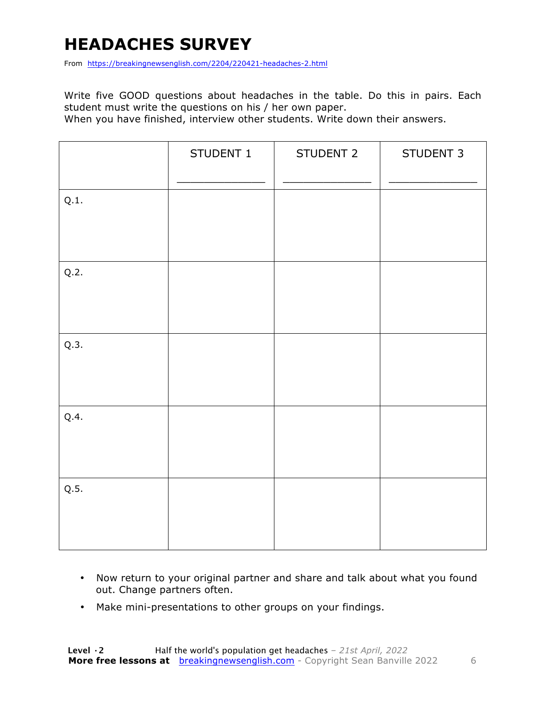## **HEADACHES SURVEY**

From https://breakingnewsenglish.com/2204/220421-headaches-2.html

Write five GOOD questions about headaches in the table. Do this in pairs. Each student must write the questions on his / her own paper.

When you have finished, interview other students. Write down their answers.

|      | STUDENT 1 | STUDENT 2 | STUDENT 3 |
|------|-----------|-----------|-----------|
| Q.1. |           |           |           |
| Q.2. |           |           |           |
| Q.3. |           |           |           |
| Q.4. |           |           |           |
| Q.5. |           |           |           |

- Now return to your original partner and share and talk about what you found out. Change partners often.
- Make mini-presentations to other groups on your findings.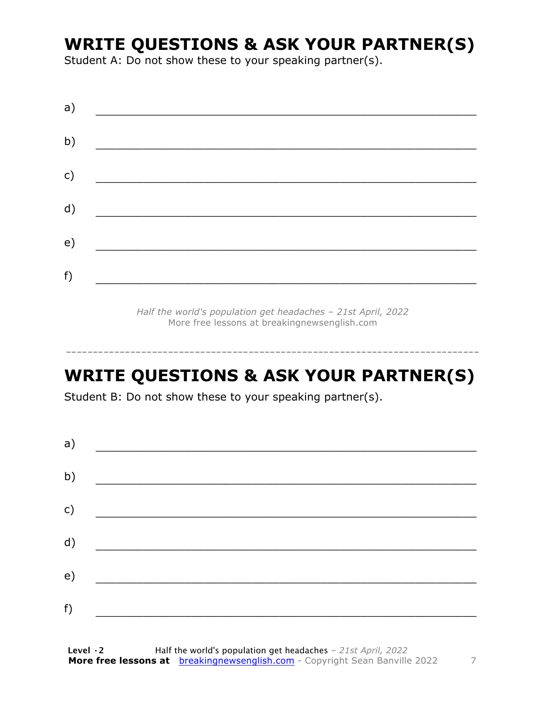#### **WRITE QUESTIONS & ASK YOUR PARTNER(S)**

Student A: Do not show these to your speaking partner(s).

*Half the world's population get headaches – 21st April, 2022* More free lessons at breakingnewsenglish.com

#### **WRITE QUESTIONS & ASK YOUR PARTNER(S)**

-----------------------------------------------------------------------------

Student B: Do not show these to your speaking partner(s).

| a) |  |  |
|----|--|--|
| b) |  |  |
| c) |  |  |
| d) |  |  |
| e) |  |  |
| f) |  |  |
|    |  |  |